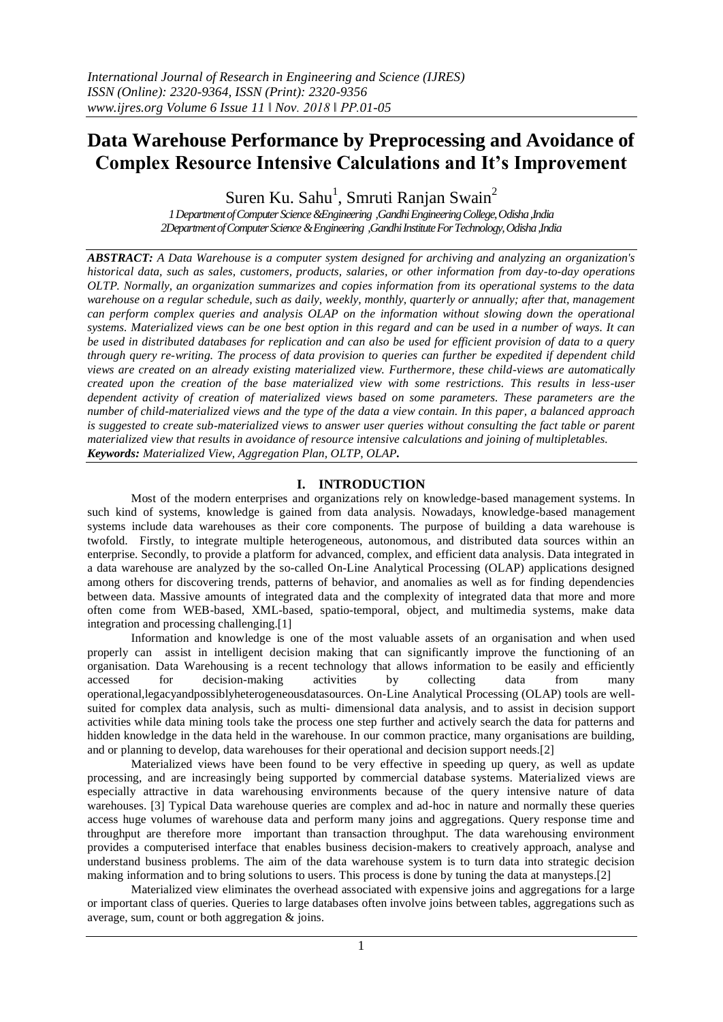# **Data Warehouse Performance by Preprocessing and Avoidance of Complex Resource Intensive Calculations and It's Improvement**

Suren Ku. Sahu<sup>1</sup>, Smruti Ranjan Swain<sup>2</sup>

*1 Department of Computer Science &Engineering ,Gandhi Engineering College,Odisha ,India 2Department of Computer Science & Engineering ,Gandhi Institute For Technology,Odisha ,India*

*ABSTRACT: A Data Warehouse is a computer system designed for archiving and analyzing an organization's historical data, such as sales, customers, products, salaries, or other information from day-to-day operations OLTP. Normally, an organization summarizes and copies information from its operational systems to the data warehouse on a regular schedule, such as daily, weekly, monthly, quarterly or annually; after that, management can perform complex queries and analysis OLAP on the information without slowing down the operational systems. Materialized views can be one best option in this regard and can be used in a number of ways. It can be used in distributed databases for replication and can also be used for efficient provision of data to a query through query re-writing. The process of data provision to queries can further be expedited if dependent child views are created on an already existing materialized view. Furthermore, these child-views are automatically created upon the creation of the base materialized view with some restrictions. This results in less-user dependent activity of creation of materialized views based on some parameters. These parameters are the number of child-materialized views and the type of the data a view contain. In this paper, a balanced approach is suggested to create sub-materialized views to answer user queries without consulting the fact table or parent materialized view that results in avoidance of resource intensive calculations and joining of multipletables. Keywords: Materialized View, Aggregation Plan, OLTP, OLAP.*

# **I. INTRODUCTION**

Most of the modern enterprises and organizations rely on knowledge-based management systems. In such kind of systems, knowledge is gained from data analysis. Nowadays, knowledge-based management systems include data warehouses as their core components. The purpose of building a data warehouse is twofold. Firstly, to integrate multiple heterogeneous, autonomous, and distributed data sources within an enterprise. Secondly, to provide a platform for advanced, complex, and efficient data analysis. Data integrated in a data warehouse are analyzed by the so-called On-Line Analytical Processing (OLAP) applications designed among others for discovering trends, patterns of behavior, and anomalies as well as for finding dependencies between data. Massive amounts of integrated data and the complexity of integrated data that more and more often come from WEB-based, XML-based, spatio-temporal, object, and multimedia systems, make data integration and processing challenging.[1]

Information and knowledge is one of the most valuable assets of an organisation and when used properly can assist in intelligent decision making that can significantly improve the functioning of an organisation. Data Warehousing is a recent technology that allows information to be easily and efficiently accessed for decision-making activities by collecting data from many operational,legacyandpossiblyheterogeneousdatasources. On-Line Analytical Processing (OLAP) tools are wellsuited for complex data analysis, such as multi- dimensional data analysis, and to assist in decision support activities while data mining tools take the process one step further and actively search the data for patterns and hidden knowledge in the data held in the warehouse. In our common practice, many organisations are building, and or planning to develop, data warehouses for their operational and decision support needs.[2]

Materialized views have been found to be very effective in speeding up query, as well as update processing, and are increasingly being supported by commercial database systems. Materialized views are especially attractive in data warehousing environments because of the query intensive nature of data warehouses. [3] Typical Data warehouse queries are complex and ad-hoc in nature and normally these queries access huge volumes of warehouse data and perform many joins and aggregations. Query response time and throughput are therefore more important than transaction throughput. The data warehousing environment provides a computerised interface that enables business decision-makers to creatively approach, analyse and understand business problems. The aim of the data warehouse system is to turn data into strategic decision making information and to bring solutions to users. This process is done by tuning the data at manysteps.[2]

Materialized view eliminates the overhead associated with expensive joins and aggregations for a large or important class of queries. Queries to large databases often involve joins between tables, aggregations such as average, sum, count or both aggregation & joins.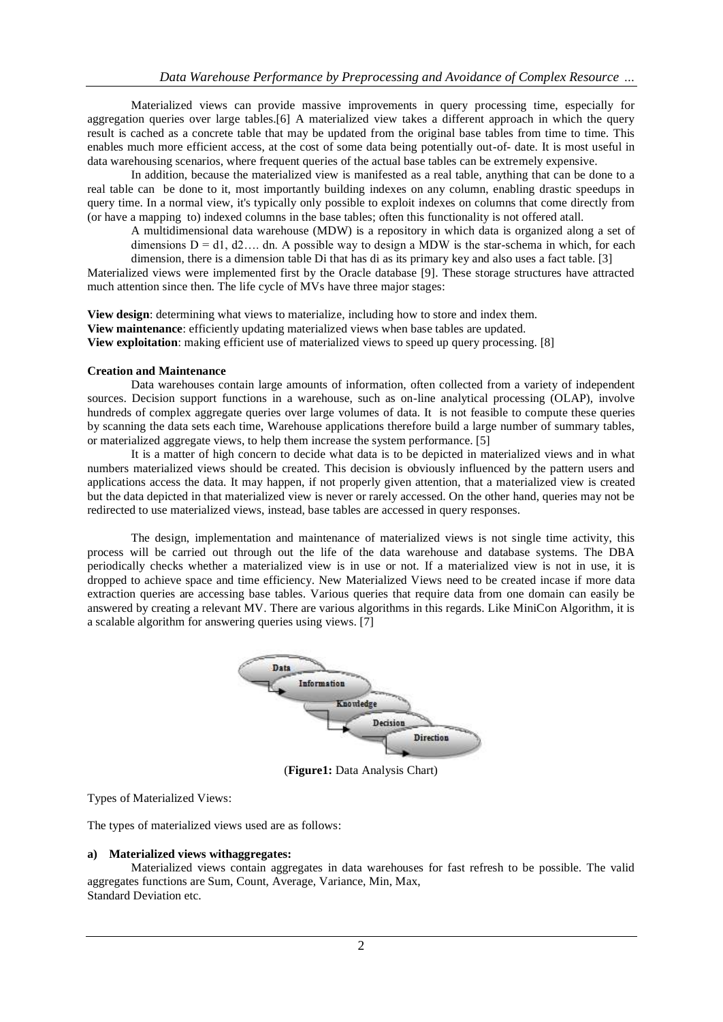Materialized views can provide massive improvements in query processing time, especially for aggregation queries over large tables.[6] A materialized view takes a different approach in which the query result is cached as a concrete table that may be updated from the original base tables from time to time. This enables much more efficient access, at the cost of some data being potentially out-of- date. It is most useful in data warehousing scenarios, where frequent queries of the actual base tables can be extremely expensive.

In addition, because the materialized view is manifested as a real table, anything that can be done to a real table can be done to it, most importantly building indexes on any column, enabling drastic speedups in query time. In a normal view, it's typically only possible to exploit indexes on columns that come directly from (or have a mapping to) indexed columns in the base tables; often this functionality is not offered atall.

A multidimensional data warehouse (MDW) is a repository in which data is organized along a set of dimensions  $D = d1$ ,  $d2...$  dn. A possible way to design a MDW is the star-schema in which, for each dimension, there is a dimension table Di that has di as its primary key and also uses a fact table. [3]

Materialized views were implemented first by the Oracle database [9]. These storage structures have attracted much attention since then. The life cycle of MVs have three major stages:

**View design**: determining what views to materialize, including how to store and index them. **View maintenance**: efficiently updating materialized views when base tables are updated. **View exploitation**: making efficient use of materialized views to speed up query processing. [8]

#### **Creation and Maintenance**

Data warehouses contain large amounts of information, often collected from a variety of independent sources. Decision support functions in a warehouse, such as on-line analytical processing (OLAP), involve hundreds of complex aggregate queries over large volumes of data. It is not feasible to compute these queries by scanning the data sets each time, Warehouse applications therefore build a large number of summary tables, or materialized aggregate views, to help them increase the system performance. [5]

It is a matter of high concern to decide what data is to be depicted in materialized views and in what numbers materialized views should be created. This decision is obviously influenced by the pattern users and applications access the data. It may happen, if not properly given attention, that a materialized view is created but the data depicted in that materialized view is never or rarely accessed. On the other hand, queries may not be redirected to use materialized views, instead, base tables are accessed in query responses.

The design, implementation and maintenance of materialized views is not single time activity, this process will be carried out through out the life of the data warehouse and database systems. The DBA periodically checks whether a materialized view is in use or not. If a materialized view is not in use, it is dropped to achieve space and time efficiency. New Materialized Views need to be created incase if more data extraction queries are accessing base tables. Various queries that require data from one domain can easily be answered by creating a relevant MV. There are various algorithms in this regards. Like MiniCon Algorithm, it is a scalable algorithm for answering queries using views. [7]



(**Figure1:** Data Analysis Chart)

Types of Materialized Views:

The types of materialized views used are as follows:

#### **a) Materialized views withaggregates:**

Materialized views contain aggregates in data warehouses for fast refresh to be possible. The valid aggregates functions are Sum, Count, Average, Variance, Min, Max, Standard Deviation etc.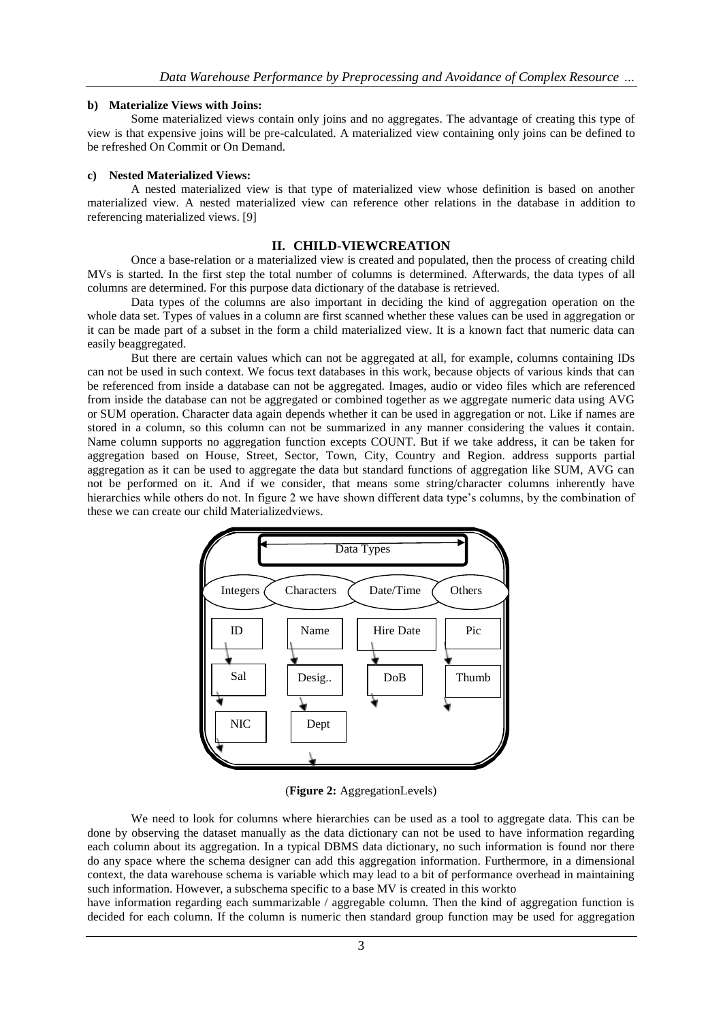#### **b) Materialize Views with Joins:**

Some materialized views contain only joins and no aggregates. The advantage of creating this type of view is that expensive joins will be pre-calculated. A materialized view containing only joins can be defined to be refreshed On Commit or On Demand.

#### **c) Nested Materialized Views:**

A nested materialized view is that type of materialized view whose definition is based on another materialized view. A nested materialized view can reference other relations in the database in addition to referencing materialized views. [9]

## **II. CHILD-VIEWCREATION**

Once a base-relation or a materialized view is created and populated, then the process of creating child MVs is started. In the first step the total number of columns is determined. Afterwards, the data types of all columns are determined. For this purpose data dictionary of the database is retrieved.

Data types of the columns are also important in deciding the kind of aggregation operation on the whole data set. Types of values in a column are first scanned whether these values can be used in aggregation or it can be made part of a subset in the form a child materialized view. It is a known fact that numeric data can easily beaggregated.

But there are certain values which can not be aggregated at all, for example, columns containing IDs can not be used in such context. We focus text databases in this work, because objects of various kinds that can be referenced from inside a database can not be aggregated. Images, audio or video files which are referenced from inside the database can not be aggregated or combined together as we aggregate numeric data using AVG or SUM operation. Character data again depends whether it can be used in aggregation or not. Like if names are stored in a column, so this column can not be summarized in any manner considering the values it contain. Name column supports no aggregation function excepts COUNT. But if we take address, it can be taken for aggregation based on House, Street, Sector, Town, City, Country and Region. address supports partial aggregation as it can be used to aggregate the data but standard functions of aggregation like SUM, AVG can not be performed on it. And if we consider, that means some string/character columns inherently have hierarchies while others do not. In figure 2 we have shown different data type's columns, by the combination of these we can create our child Materializedviews.



(**Figure 2:** AggregationLevels)

We need to look for columns where hierarchies can be used as a tool to aggregate data. This can be done by observing the dataset manually as the data dictionary can not be used to have information regarding each column about its aggregation. In a typical DBMS data dictionary, no such information is found nor there do any space where the schema designer can add this aggregation information. Furthermore, in a dimensional context, the data warehouse schema is variable which may lead to a bit of performance overhead in maintaining such information. However, a subschema specific to a base MV is created in this workto

have information regarding each summarizable / aggregable column. Then the kind of aggregation function is decided for each column. If the column is numeric then standard group function may be used for aggregation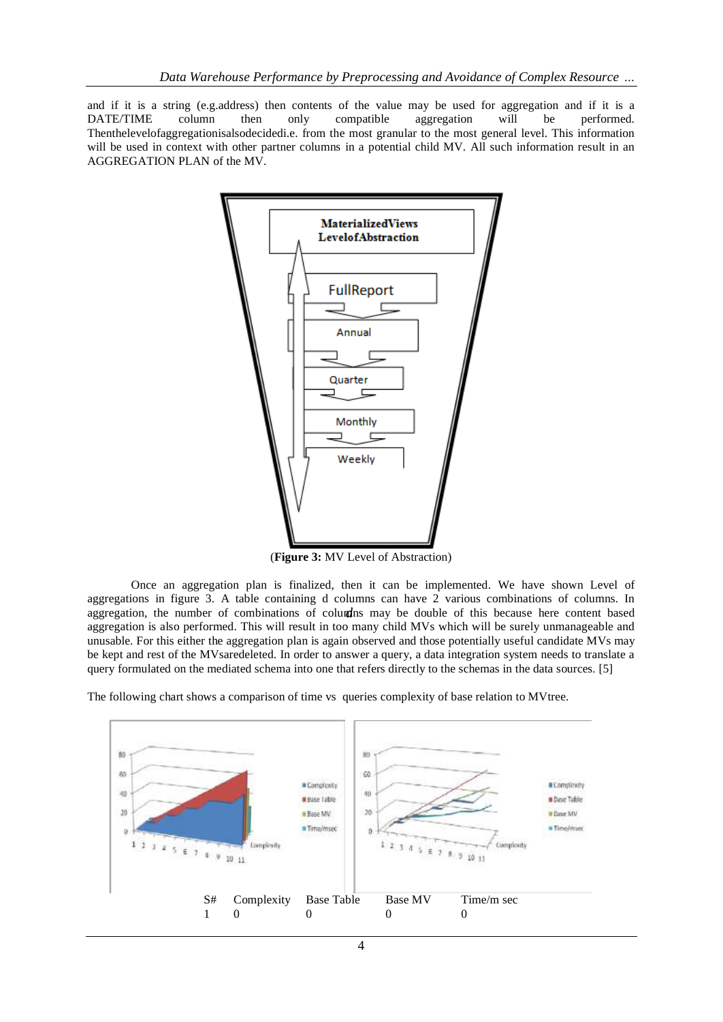and if it is a string (e.g.address) then contents of the value may be used for aggregation and if it is a DATE/TIME column then only compatible aggregation will be performed. Thenthelevelofaggregationisalsodecidedi.e. from the most granular to the most general level. This information will be used in context with other partner columns in a potential child MV. All such information result in an AGGREGATION PLAN of the MV.



(**Figure 3:** MV Level of Abstraction)

aggregation, the number of combinations of columns may be double of this because here content based Once an aggregation plan is finalized, then it can be implemented. We have shown Level of aggregations in figure 3. A table containing d columns can have 2 various combinations of columns. In aggregation is also performed. This will result in too many child MVs which will be surely unmanageable and unusable. For this either the aggregation plan is again observed and those potentially useful candidate MVs may be kept and rest of the MVsaredeleted. In order to answer a query, a data integration system needs to translate a query formulated on the mediated schema into one that refers directly to the schemas in the data sources. [5]



The following chart shows a comparison of time vs queries complexity of base relation to MVtree.